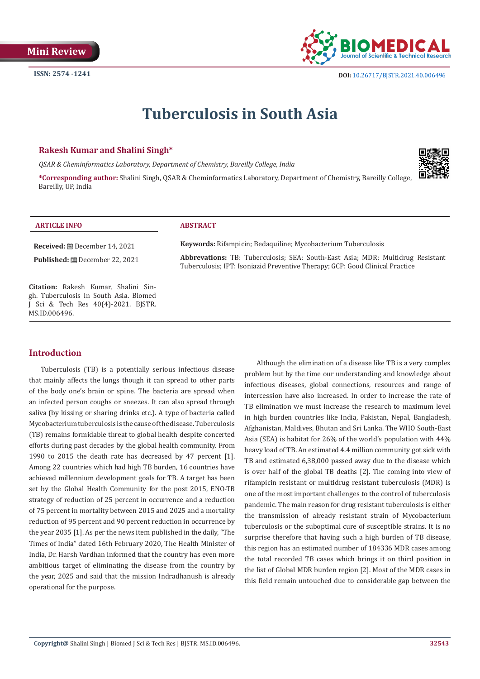

# **Tuberculosis in South Asia**

# **Rakesh Kumar and Shalini Singh\***

*QSAR & Cheminformatics Laboratory, Department of Chemistry, Bareilly College, India* 

**\*Corresponding author:** Shalini Singh, QSAR & Cheminformatics Laboratory, Department of Chemistry, Bareilly College, Bareilly, UP, India



#### **ARTICLE INFO ABSTRACT**

**Received:** December 14, 2021

**Published:** December 22, 2021

**Citation:** Rakesh Kumar, Shalini Singh. Tuberculosis in South Asia. Biomed J Sci & Tech Res 40(4)-2021. BJSTR. MS.ID.006496.

**Keywords:** Rifampicin; Bedaquiline; Mycobacterium Tuberculosis

**Abbrevations:** TB: Tuberculosis; SEA: South-East Asia; MDR: Multidrug Resistant Tuberculosis; IPT: Isoniazid Preventive Therapy; GCP: Good Clinical Practice

# **Introduction**

Tuberculosis (TB) is a potentially serious infectious disease that mainly affects the lungs though it can spread to other parts of the body one's brain or spine. The bacteria are spread when an infected person coughs or sneezes. It can also spread through saliva (by kissing or sharing drinks etc.). A type of bacteria called Mycobacterium tuberculosis is the cause of the disease. Tuberculosis (TB) remains formidable threat to global health despite concerted efforts during past decades by the global health community. From 1990 to 2015 the death rate has decreased by 47 percent [1]. Among 22 countries which had high TB burden, 16 countries have achieved millennium development goals for TB. A target has been set by the Global Health Community for the post 2015, ENO-TB strategy of reduction of 25 percent in occurrence and a reduction of 75 percent in mortality between 2015 and 2025 and a mortality reduction of 95 percent and 90 percent reduction in occurrence by the year 2035 [1]. As per the news item published in the daily, "The Times of India" dated 16th February 2020, The Health Minister of India, Dr. Harsh Vardhan informed that the country has even more ambitious target of eliminating the disease from the country by the year, 2025 and said that the mission Indradhanush is already operational for the purpose.

Although the elimination of a disease like TB is a very complex problem but by the time our understanding and knowledge about infectious diseases, global connections, resources and range of intercession have also increased. In order to increase the rate of TB elimination we must increase the research to maximum level in high burden countries like India, Pakistan, Nepal, Bangladesh, Afghanistan, Maldives, Bhutan and Sri Lanka. The WHO South-East Asia (SEA) is habitat for 26% of the world's population with 44% heavy load of TB. An estimated 4.4 million community got sick with TB and estimated 6,38,000 passed away due to the disease which is over half of the global TB deaths [2]. The coming into view of rifampicin resistant or multidrug resistant tuberculosis (MDR) is one of the most important challenges to the control of tuberculosis pandemic. The main reason for drug resistant tuberculosis is either the transmission of already resistant strain of Mycobacterium tuberculosis or the suboptimal cure of susceptible strains. It is no surprise therefore that having such a high burden of TB disease, this region has an estimated number of 184336 MDR cases among the total recorded TB cases which brings it on third position in the list of Global MDR burden region [2]. Most of the MDR cases in this field remain untouched due to considerable gap between the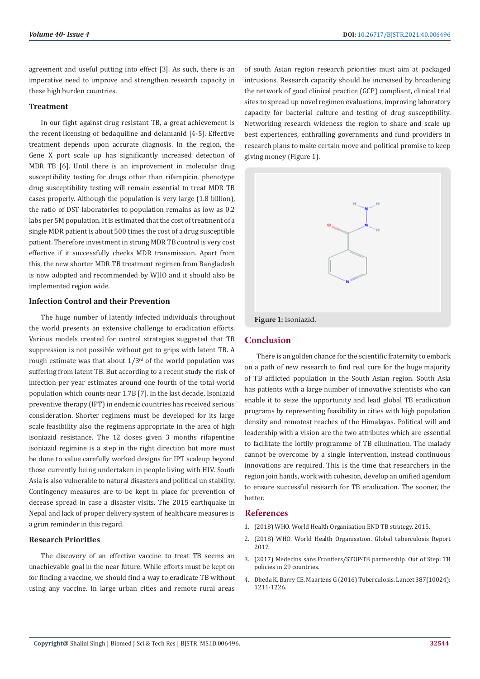agreement and useful putting into effect [3]. As such, there is an imperative need to improve and strengthen research capacity in these high burden countries.

#### **Treatment**

In our fight against drug resistant TB, a great achievement is the recent licensing of bedaquiline and delamanid [4-5]. Effective treatment depends upon accurate diagnosis. In the region, the Gene X port scale up has significantly increased detection of MDR TB [6]. Until there is an improvement in molecular drug susceptibility testing for drugs other than rifampicin, phenotype drug susceptibility testing will remain essential to treat MDR TB cases properly. Although the population is very large (1.8 billion), the ratio of DST laboratories to population remains as low as 0.2 labs per 5M population. It is estimated that the cost of treatment of a single MDR patient is about 500 times the cost of a drug susceptible patient. Therefore investment in strong MDR TB control is very cost effective if it successfully checks MDR transmission. Apart from this, the new shorter MDR TB treatment regimen from Bangladesh is now adopted and recommended by WHO and it should also be implemented region wide.

### **Infection Control and their Prevention**

The huge number of latently infected individuals throughout the world presents an extensive challenge to eradication efforts. Various models created for control strategies suggested that TB suppression is not possible without get to grips with latent TB. A rough estimate was that about  $1/3^{rd}$  of the world population was suffering from latent TB. But according to a recent study the risk of infection per year estimates around one fourth of the total world population which counts near 1.7B [7]. In the last decade, Isoniazid preventive therapy (IPT) in endemic countries has received serious consideration. Shorter regimens must be developed for its large scale feasibility also the regimens appropriate in the area of high isoniazid resistance. The 12 doses given 3 months rifapentine isoniazid regimine is a step in the right direction but more must be done to value carefully worked designs for IPT scaleup beyond those currently being undertaken in people living with HIV. South Asia is also vulnerable to natural disasters and political un stability. Contingency measures are to be kept in place for prevention of decease spread in case a disaster visits. The 2015 earthquake in Nepal and lack of proper delivery system of healthcare measures is a grim reminder in this regard.

#### **Research Priorities**

The discovery of an effective vaccine to treat TB seems an unachievable goal in the near future. While efforts must be kept on for finding a vaccine, we should find a way to eradicate TB without using any vaccine. In large urban cities and remote rural areas of south Asian region research priorities must aim at packaged intrusions. Research capacity should be increased by broadening the network of good clinical practice (GCP) compliant, clinical trial sites to spread up novel regimen evaluations, improving laboratory capacity for bacterial culture and testing of drug susceptibility. Networking research wideness the region to share and scale up best experiences, enthralling governments and fund providers in research plans to make certain move and political promise to keep giving money (Figure 1).



# **Conclusion**

There is an golden chance for the scientific fraternity to embark on a path of new research to find real cure for the huge majority of TB afflicted population in the South Asian region. South Asia has patients with a large number of innovative scientists who can enable it to seize the opportunity and lead global TB eradication programs by representing feasibility in cities with high population density and remotest reaches of the Himalayas. Political will and leadership with a vision are the two attributes which are essential to facilitate the loftily programme of TB elimination. The malady cannot be overcome by a single intervention, instead continuous innovations are required. This is the time that researchers in the region join hands, work with cohesion, develop an unified agendum to ensure successful research for TB eradication. The sooner, the better.

# **References**

- 1. [\(2018\) WHO. World Health Organisation END TB strategy, 2015.](https://www.who.int/tb/strategy/End_TB_Strategy.pdf)
- 2. [\(2018\) WHO. World Health Organisation. Global tuberculosis Report](https://www.who.int/teams/global-tuberculosis-programme/tb-reports) [2017.](https://www.who.int/teams/global-tuberculosis-programme/tb-reports)
- 3. [\(2017\) Medecins sans Frontiers/STOP-TB partnership. Out of Step: TB](https://msfaccess.org/outofstep2017.) [policies in 29 countries.](https://msfaccess.org/outofstep2017.)
- 4. [Dheda K, Barry CE, Maartens G \(2016\) Tuberculosis. Lancet 387\(10024\):](https://www.thelancet.com/journals/lancet/article/PIIS0140-6736(15)00151-8/fulltext) [1211-1226.](https://www.thelancet.com/journals/lancet/article/PIIS0140-6736(15)00151-8/fulltext)